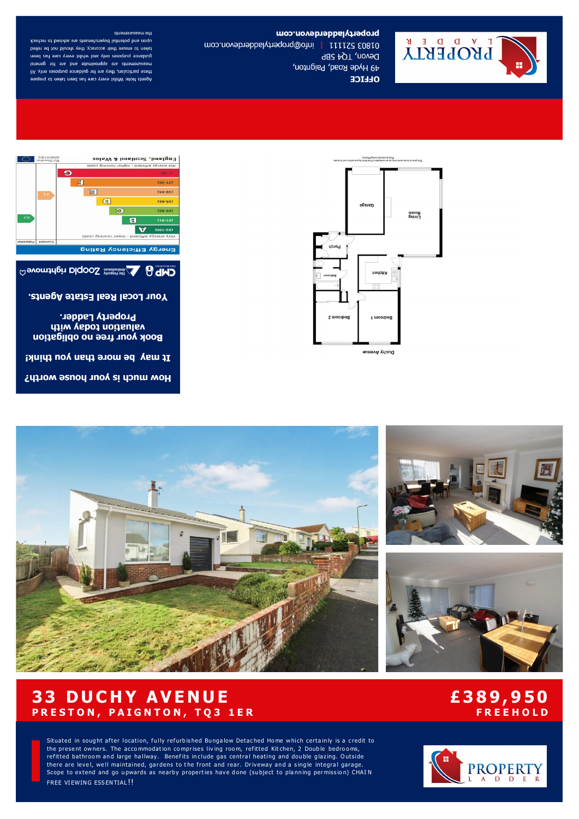







**OLLICE** 

the measurements upon and potential buyers/tenants are advised to recheck taken to ensure their accuracy, they should not be relied guidance purposes only and whilst every care has been measurements are approximate and are for general these particulars, they are for guidance purposes only. All Agents Note: Whilst every care has been taken to prepare

> England, Scotland & Wales Wot energy efficient - higher running costs

> > $(51 - 38)$

and the

S005\81\EC

 $\boldsymbol{\Theta}$ 

 $\mathbf{H}$ 

propertyladotavon.com L Y D D P E KLA 01803 52111 | info@propertyladerdevon.com Devon, TQ4 5BP 49 Hyde Road, Paignton,

# **33 DUCHY AVENUE** PRESTON, PAIGNTON, TQ3 1ER

# £389,950 **FREEHOLD**

Situated in sought after location, fully refurbished Bungalow Detached Home which certainly is a credit to the present owners. The accommodation comprises living room, refitted Kitchen, 2 Double bedrooms, refitted bathroom and large hallway. Benefits include gas central heating and double glazing. Outside there are level, well maintained, gardens to the front and rear. Driveway and a single integral garage. Scope to extend and go upwards as nearby properties have done (subject to planning permission) CHAIN FREE VIEWING ESSENTIAL!!